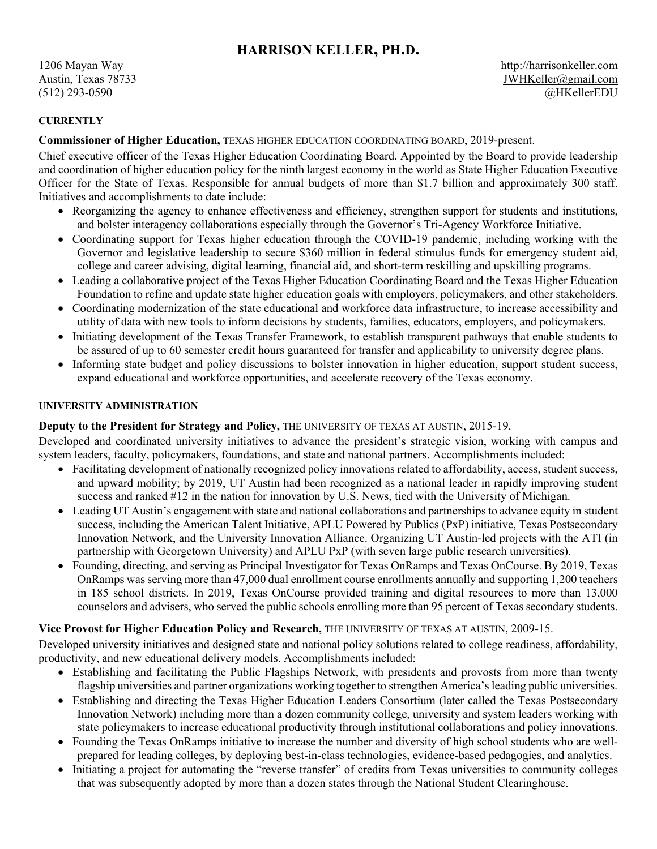# **HARRISON KELLER, PH.D.**

#### **CURRENTLY**

**Commissioner of Higher Education,** TEXAS HIGHER EDUCATION COORDINATING BOARD, 2019-present.

Chief executive officer of the Texas Higher Education Coordinating Board. Appointed by the Board to provide leadership and coordination of higher education policy for the ninth largest economy in the world as State Higher Education Executive Officer for the State of Texas. Responsible for annual budgets of more than \$1.7 billion and approximately 300 staff. Initiatives and accomplishments to date include:

- Reorganizing the agency to enhance effectiveness and efficiency, strengthen support for students and institutions, and bolster interagency collaborations especially through the Governor's Tri-Agency Workforce Initiative.
- Coordinating support for Texas higher education through the COVID-19 pandemic, including working with the Governor and legislative leadership to secure \$360 million in federal stimulus funds for emergency student aid, college and career advising, digital learning, financial aid, and short-term reskilling and upskilling programs.
- Leading a collaborative project of the Texas Higher Education Coordinating Board and the Texas Higher Education Foundation to refine and update state higher education goals with employers, policymakers, and other stakeholders.
- Coordinating modernization of the state educational and workforce data infrastructure, to increase accessibility and utility of data with new tools to inform decisions by students, families, educators, employers, and policymakers.
- Initiating development of the Texas Transfer Framework, to establish transparent pathways that enable students to be assured of up to 60 semester credit hours guaranteed for transfer and applicability to university degree plans.
- Informing state budget and policy discussions to bolster innovation in higher education, support student success, expand educational and workforce opportunities, and accelerate recovery of the Texas economy.

#### **UNIVERSITY ADMINISTRATION**

### **Deputy to the President for Strategy and Policy,** THE UNIVERSITY OF TEXAS AT AUSTIN, 2015-19.

Developed and coordinated university initiatives to advance the president's strategic vision, working with campus and system leaders, faculty, policymakers, foundations, and state and national partners. Accomplishments included:

- Facilitating development of nationally recognized policy innovations related to affordability, access, student success, and upward mobility; by 2019, UT Austin had been recognized as a national leader in rapidly improving student success and ranked #12 in the nation for innovation by U.S. News, tied with the University of Michigan.
- Leading UT Austin's engagement with state and national collaborations and partnerships to advance equity in student success, including the American Talent Initiative, APLU Powered by Publics (PxP) initiative, Texas Postsecondary Innovation Network, and the University Innovation Alliance. Organizing UT Austin-led projects with the ATI (in partnership with Georgetown University) and APLU PxP (with seven large public research universities).
- Founding, directing, and serving as Principal Investigator for Texas OnRamps and Texas OnCourse. By 2019, Texas OnRamps was serving more than 47,000 dual enrollment course enrollments annually and supporting 1,200 teachers in 185 school districts. In 2019, Texas OnCourse provided training and digital resources to more than 13,000 counselors and advisers, who served the public schools enrolling more than 95 percent of Texas secondary students.

## **Vice Provost for Higher Education Policy and Research,** THE UNIVERSITY OF TEXAS AT AUSTIN, 2009-15.

Developed university initiatives and designed state and national policy solutions related to college readiness, affordability, productivity, and new educational delivery models. Accomplishments included:

- Establishing and facilitating the Public Flagships Network, with presidents and provosts from more than twenty flagship universities and partner organizations working together to strengthen America's leading public universities.
- Establishing and directing the Texas Higher Education Leaders Consortium (later called the Texas Postsecondary Innovation Network) including more than a dozen community college, university and system leaders working with state policymakers to increase educational productivity through institutional collaborations and policy innovations.
- Founding the Texas OnRamps initiative to increase the number and diversity of high school students who are wellprepared for leading colleges, by deploying best-in-class technologies, evidence-based pedagogies, and analytics.
- Initiating a project for automating the "reverse transfer" of credits from Texas universities to community colleges that was subsequently adopted by more than a dozen states through the National Student Clearinghouse.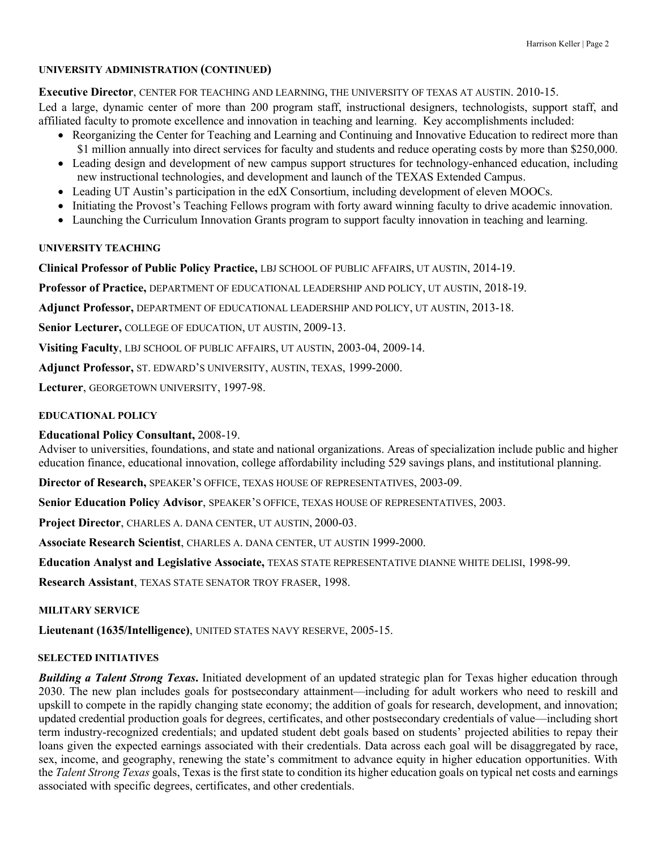#### **UNIVERSITY ADMINISTRATION (CONTINUED)**

**Executive Director**, CENTER FOR TEACHING AND LEARNING, THE UNIVERSITY OF TEXAS AT AUSTIN. 2010-15.

Led a large, dynamic center of more than 200 program staff, instructional designers, technologists, support staff, and affiliated faculty to promote excellence and innovation in teaching and learning. Key accomplishments included:

- Reorganizing the Center for Teaching and Learning and Continuing and Innovative Education to redirect more than \$1 million annually into direct services for faculty and students and reduce operating costs by more than \$250,000.
- Leading design and development of new campus support structures for technology-enhanced education, including new instructional technologies, and development and launch of the TEXAS Extended Campus.
- Leading UT Austin's participation in the edX Consortium, including development of eleven MOOCs.
- Initiating the Provost's Teaching Fellows program with forty award winning faculty to drive academic innovation.
- Launching the Curriculum Innovation Grants program to support faculty innovation in teaching and learning.

## **UNIVERSITY TEACHING**

**Clinical Professor of Public Policy Practice,** LBJ SCHOOL OF PUBLIC AFFAIRS, UT AUSTIN, 2014-19.

**Professor of Practice,** DEPARTMENT OF EDUCATIONAL LEADERSHIP AND POLICY, UT AUSTIN, 2018-19.

**Adjunct Professor,** DEPARTMENT OF EDUCATIONAL LEADERSHIP AND POLICY, UT AUSTIN, 2013-18.

**Senior Lecturer,** COLLEGE OF EDUCATION, UT AUSTIN, 2009-13.

**Visiting Faculty**, LBJ SCHOOL OF PUBLIC AFFAIRS, UT AUSTIN, 2003-04, 2009-14.

**Adjunct Professor,** ST. EDWARD'S UNIVERSITY, AUSTIN, TEXAS, 1999-2000.

**Lecturer**, GEORGETOWN UNIVERSITY, 1997-98.

## **EDUCATIONAL POLICY**

## **Educational Policy Consultant,** 2008-19.

Adviser to universities, foundations, and state and national organizations. Areas of specialization include public and higher education finance, educational innovation, college affordability including 529 savings plans, and institutional planning.

**Director of Research,** SPEAKER'S OFFICE, TEXAS HOUSE OF REPRESENTATIVES, 2003-09.

**Senior Education Policy Advisor**, SPEAKER'S OFFICE, TEXAS HOUSE OF REPRESENTATIVES, 2003.

**Project Director**, CHARLES A. DANA CENTER, UT AUSTIN, 2000-03.

**Associate Research Scientist**, CHARLES A. DANA CENTER, UT AUSTIN 1999-2000.

**Education Analyst and Legislative Associate,** TEXAS STATE REPRESENTATIVE DIANNE WHITE DELISI, 1998-99.

**Research Assistant**, TEXAS STATE SENATOR TROY FRASER, 1998.

## **MILITARY SERVICE**

**Lieutenant (1635/Intelligence)**, UNITED STATES NAVY RESERVE, 2005-15.

#### **SELECTED INITIATIVES**

*Building a Talent Strong Texas***.** Initiated development of an updated strategic plan for Texas higher education through 2030. The new plan includes goals for postsecondary attainment—including for adult workers who need to reskill and upskill to compete in the rapidly changing state economy; the addition of goals for research, development, and innovation; updated credential production goals for degrees, certificates, and other postsecondary credentials of value—including short term industry-recognized credentials; and updated student debt goals based on students' projected abilities to repay their loans given the expected earnings associated with their credentials. Data across each goal will be disaggregated by race, sex, income, and geography, renewing the state's commitment to advance equity in higher education opportunities. With the *Talent Strong Texas* goals, Texas is the first state to condition its higher education goals on typical net costs and earnings associated with specific degrees, certificates, and other credentials.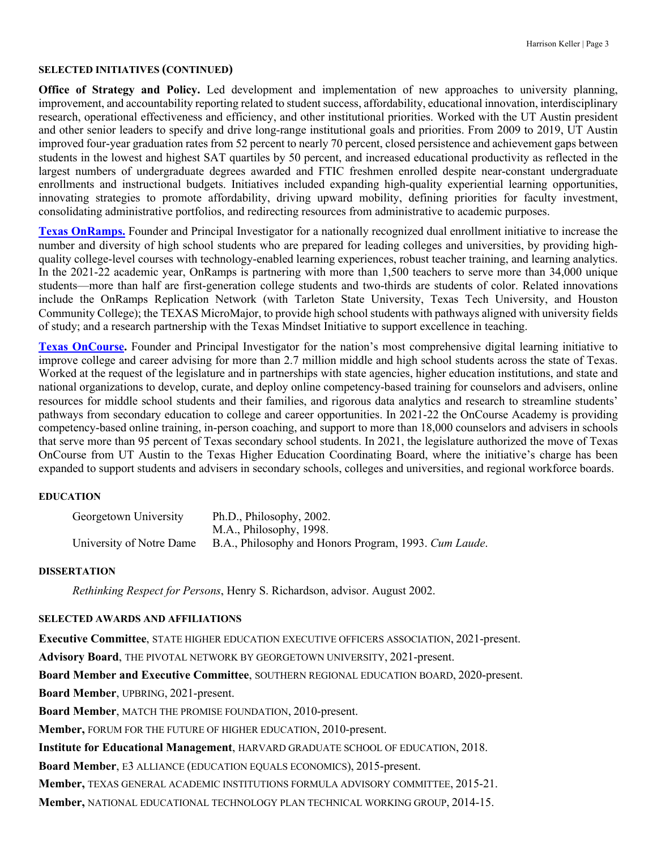#### **SELECTED INITIATIVES (CONTINUED)**

**Office of Strategy and Policy.** Led development and implementation of new approaches to university planning, improvement, and accountability reporting related to student success, affordability, educational innovation, interdisciplinary research, operational effectiveness and efficiency, and other institutional priorities. Worked with the UT Austin president and other senior leaders to specify and drive long-range institutional goals and priorities. From 2009 to 2019, UT Austin improved four-year graduation rates from 52 percent to nearly 70 percent, closed persistence and achievement gaps between students in the lowest and highest SAT quartiles by 50 percent, and increased educational productivity as reflected in the largest numbers of undergraduate degrees awarded and FTIC freshmen enrolled despite near-constant undergraduate enrollments and instructional budgets. Initiatives included expanding high-quality experiential learning opportunities, innovating strategies to promote affordability, driving upward mobility, defining priorities for faculty investment, consolidating administrative portfolios, and redirecting resources from administrative to academic purposes.

**Texas OnRamps.** Founder and Principal Investigator for a nationally recognized dual enrollment initiative to increase the number and diversity of high school students who are prepared for leading colleges and universities, by providing highquality college-level courses with technology-enabled learning experiences, robust teacher training, and learning analytics. In the 2021-22 academic year, OnRamps is partnering with more than 1,500 teachers to serve more than 34,000 unique students—more than half are first-generation college students and two-thirds are students of color. Related innovations include the OnRamps Replication Network (with Tarleton State University, Texas Tech University, and Houston Community College); the TEXAS MicroMajor, to provide high school students with pathways aligned with university fields of study; and a research partnership with the Texas Mindset Initiative to support excellence in teaching.

**Texas OnCourse.** Founder and Principal Investigator for the nation's most comprehensive digital learning initiative to improve college and career advising for more than 2.7 million middle and high school students across the state of Texas. Worked at the request of the legislature and in partnerships with state agencies, higher education institutions, and state and national organizations to develop, curate, and deploy online competency-based training for counselors and advisers, online resources for middle school students and their families, and rigorous data analytics and research to streamline students' pathways from secondary education to college and career opportunities. In 2021-22 the OnCourse Academy is providing competency-based online training, in-person coaching, and support to more than 18,000 counselors and advisers in schools that serve more than 95 percent of Texas secondary school students. In 2021, the legislature authorized the move of Texas OnCourse from UT Austin to the Texas Higher Education Coordinating Board, where the initiative's charge has been expanded to support students and advisers in secondary schools, colleges and universities, and regional workforce boards.

#### **EDUCATION**

| Georgetown University    | Ph.D., Philosophy, 2002.                              |
|--------------------------|-------------------------------------------------------|
|                          | M.A., Philosophy, 1998.                               |
| University of Notre Dame | B.A., Philosophy and Honors Program, 1993. Cum Laude. |

#### **DISSERTATION**

*Rethinking Respect for Persons*, Henry S. Richardson, advisor. August 2002.

#### **SELECTED AWARDS AND AFFILIATIONS**

**Executive Committee**, STATE HIGHER EDUCATION EXECUTIVE OFFICERS ASSOCIATION, 2021-present.

**Advisory Board**, THE PIVOTAL NETWORK BY GEORGETOWN UNIVERSITY, 2021-present.

**Board Member and Executive Committee**, SOUTHERN REGIONAL EDUCATION BOARD, 2020-present.

**Board Member**, UPBRING, 2021-present.

**Board Member**, MATCH THE PROMISE FOUNDATION, 2010-present.

**Member,** FORUM FOR THE FUTURE OF HIGHER EDUCATION, 2010-present.

**Institute for Educational Management**, HARVARD GRADUATE SCHOOL OF EDUCATION, 2018.

**Board Member**, E3 ALLIANCE (EDUCATION EQUALS ECONOMICS), 2015-present.

**Member,** TEXAS GENERAL ACADEMIC INSTITUTIONS FORMULA ADVISORY COMMITTEE, 2015-21.

**Member,** NATIONAL EDUCATIONAL TECHNOLOGY PLAN TECHNICAL WORKING GROUP, 2014-15.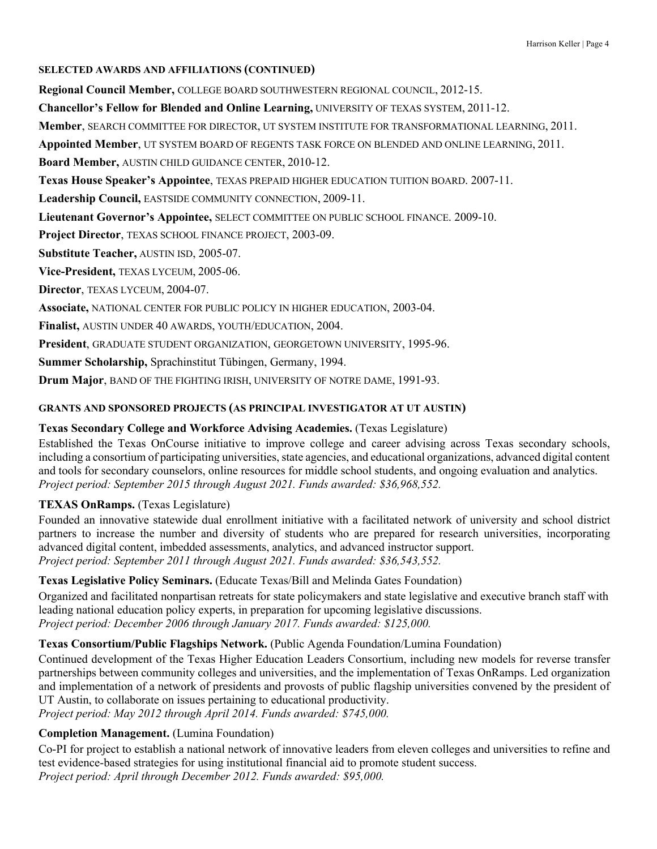#### **SELECTED AWARDS AND AFFILIATIONS (CONTINUED)**

**Regional Council Member,** COLLEGE BOARD SOUTHWESTERN REGIONAL COUNCIL, 2012-15.

**Chancellor's Fellow for Blended and Online Learning,** UNIVERSITY OF TEXAS SYSTEM, 2011-12.

**Member**, SEARCH COMMITTEE FOR DIRECTOR, UT SYSTEM INSTITUTE FOR TRANSFORMATIONAL LEARNING, 2011.

**Appointed Member**, UT SYSTEM BOARD OF REGENTS TASK FORCE ON BLENDED AND ONLINE LEARNING, 2011.

**Board Member,** AUSTIN CHILD GUIDANCE CENTER, 2010-12.

**Texas House Speaker's Appointee**, TEXAS PREPAID HIGHER EDUCATION TUITION BOARD. 2007-11.

Leadership Council, **EASTSIDE COMMUNITY CONNECTION**, 2009-11.

**Lieutenant Governor's Appointee,** SELECT COMMITTEE ON PUBLIC SCHOOL FINANCE. 2009-10.

**Project Director**, TEXAS SCHOOL FINANCE PROJECT, 2003-09.

**Substitute Teacher,** AUSTIN ISD, 2005-07.

**Vice-President,** TEXAS LYCEUM, 2005-06.

**Director**, TEXAS LYCEUM, 2004-07.

**Associate,** NATIONAL CENTER FOR PUBLIC POLICY IN HIGHER EDUCATION, 2003-04.

**Finalist,** AUSTIN UNDER 40 AWARDS, YOUTH/EDUCATION, 2004.

**President**, GRADUATE STUDENT ORGANIZATION, GEORGETOWN UNIVERSITY, 1995-96.

**Summer Scholarship,** Sprachinstitut Tübingen, Germany, 1994.

**Drum Major**, BAND OF THE FIGHTING IRISH, UNIVERSITY OF NOTRE DAME, 1991-93.

## **GRANTS AND SPONSORED PROJECTS (AS PRINCIPAL INVESTIGATOR AT UT AUSTIN)**

## **Texas Secondary College and Workforce Advising Academies.** (Texas Legislature)

Established the Texas OnCourse initiative to improve college and career advising across Texas secondary schools, including a consortium of participating universities, state agencies, and educational organizations, advanced digital content and tools for secondary counselors, online resources for middle school students, and ongoing evaluation and analytics. *Project period: September 2015 through August 2021. Funds awarded: \$36,968,552.*

# **TEXAS OnRamps.** (Texas Legislature)

Founded an innovative statewide dual enrollment initiative with a facilitated network of university and school district partners to increase the number and diversity of students who are prepared for research universities, incorporating advanced digital content, imbedded assessments, analytics, and advanced instructor support. *Project period: September 2011 through August 2021. Funds awarded: \$36,543,552.*

## **Texas Legislative Policy Seminars.** (Educate Texas/Bill and Melinda Gates Foundation)

Organized and facilitated nonpartisan retreats for state policymakers and state legislative and executive branch staff with leading national education policy experts, in preparation for upcoming legislative discussions. *Project period: December 2006 through January 2017. Funds awarded: \$125,000.*

# **Texas Consortium/Public Flagships Network.** (Public Agenda Foundation/Lumina Foundation)

Continued development of the Texas Higher Education Leaders Consortium, including new models for reverse transfer partnerships between community colleges and universities, and the implementation of Texas OnRamps. Led organization and implementation of a network of presidents and provosts of public flagship universities convened by the president of UT Austin, to collaborate on issues pertaining to educational productivity. *Project period: May 2012 through April 2014. Funds awarded: \$745,000.*

# **Completion Management.** (Lumina Foundation)

Co-PI for project to establish a national network of innovative leaders from eleven colleges and universities to refine and test evidence-based strategies for using institutional financial aid to promote student success. *Project period: April through December 2012. Funds awarded: \$95,000.*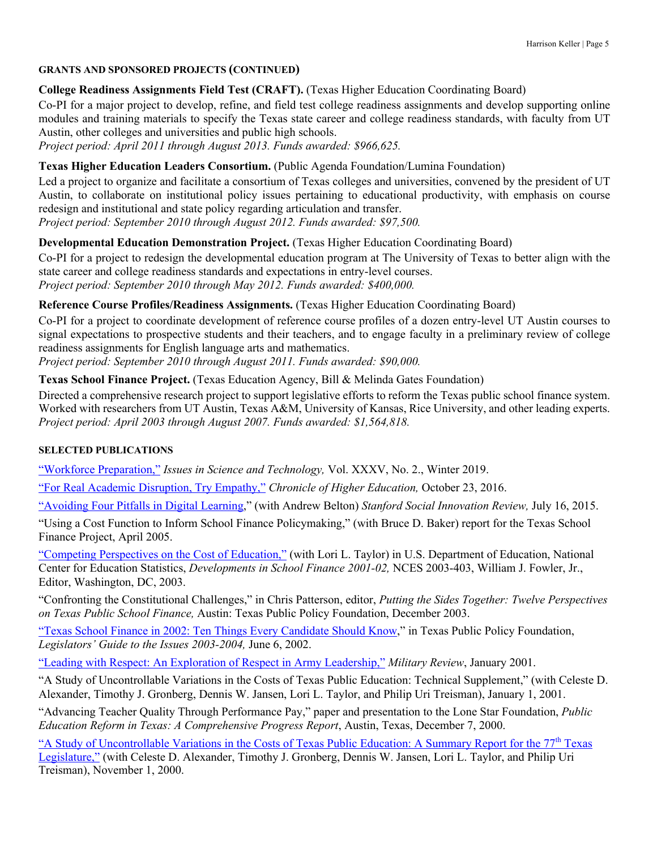## **GRANTS AND SPONSORED PROJECTS (CONTINUED)**

# **College Readiness Assignments Field Test (CRAFT).** (Texas Higher Education Coordinating Board)

Co-PI for a major project to develop, refine, and field test college readiness assignments and develop supporting online modules and training materials to specify the Texas state career and college readiness standards, with faculty from UT Austin, other colleges and universities and public high schools.

*Project period: April 2011 through August 2013. Funds awarded: \$966,625.*

# **Texas Higher Education Leaders Consortium.** (Public Agenda Foundation/Lumina Foundation)

Led a project to organize and facilitate a consortium of Texas colleges and universities, convened by the president of UT Austin, to collaborate on institutional policy issues pertaining to educational productivity, with emphasis on course redesign and institutional and state policy regarding articulation and transfer. *Project period: September 2010 through August 2012. Funds awarded: \$97,500.*

**Developmental Education Demonstration Project.** (Texas Higher Education Coordinating Board)

Co-PI for a project to redesign the developmental education program at The University of Texas to better align with the state career and college readiness standards and expectations in entry-level courses. *Project period: September 2010 through May 2012. Funds awarded: \$400,000.*

**Reference Course Profiles/Readiness Assignments.** (Texas Higher Education Coordinating Board)

Co-PI for a project to coordinate development of reference course profiles of a dozen entry-level UT Austin courses to signal expectations to prospective students and their teachers, and to engage faculty in a preliminary review of college readiness assignments for English language arts and mathematics.

*Project period: September 2010 through August 2011. Funds awarded: \$90,000.*

**Texas School Finance Project.** (Texas Education Agency, Bill & Melinda Gates Foundation)

Directed a comprehensive research project to support legislative efforts to reform the Texas public school finance system. Worked with researchers from UT Austin, Texas A&M, University of Kansas, Rice University, and other leading experts. *Project period: April 2003 through August 2007. Funds awarded: \$1,564,818.*

## **SELECTED PUBLICATIONS**

"Workforce Preparation," *Issues in Science and Technology,* Vol. XXXV, No. 2., Winter 2019.

"For Real Academic Disruption, Try Empathy," *Chronicle of Higher Education,* October 23, 2016.

"Avoiding Four Pitfalls in Digital Learning," (with Andrew Belton) *Stanford Social Innovation Review,* July 16, 2015.

"Using a Cost Function to Inform School Finance Policymaking," (with Bruce D. Baker) report for the Texas School Finance Project, April 2005.

"Competing Perspectives on the Cost of Education," (with Lori L. Taylor) in U.S. Department of Education, National Center for Education Statistics, *Developments in School Finance 2001-02,* NCES 2003-403, William J. Fowler, Jr., Editor, Washington, DC, 2003.

"Confronting the Constitutional Challenges," in Chris Patterson, editor, *Putting the Sides Together: Twelve Perspectives on Texas Public School Finance,* Austin: Texas Public Policy Foundation, December 2003.

"Texas School Finance in 2002: Ten Things Every Candidate Should Know," in Texas Public Policy Foundation, *Legislators' Guide to the Issues 2003-2004,* June 6, 2002.

"Leading with Respect: An Exploration of Respect in Army Leadership," *Military Review*, January 2001.

"A Study of Uncontrollable Variations in the Costs of Texas Public Education: Technical Supplement," (with Celeste D. Alexander, Timothy J. Gronberg, Dennis W. Jansen, Lori L. Taylor, and Philip Uri Treisman), January 1, 2001.

"Advancing Teacher Quality Through Performance Pay," paper and presentation to the Lone Star Foundation, *Public Education Reform in Texas: A Comprehensive Progress Report*, Austin, Texas, December 7, 2000.

"A Study of Uncontrollable Variations in the Costs of Texas Public Education: A Summary Report for the 77<sup>th</sup> Texas Legislature," (with Celeste D. Alexander, Timothy J. Gronberg, Dennis W. Jansen, Lori L. Taylor, and Philip Uri Treisman), November 1, 2000.